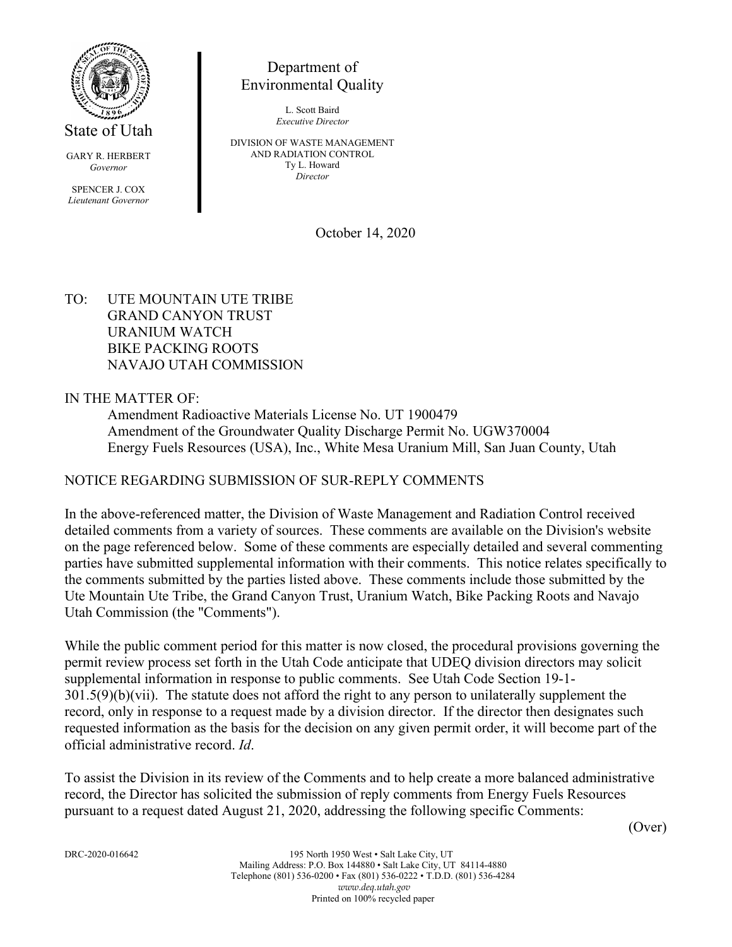

State of Utah

GARY R. HERBERT *Governor*

SPENCER J. COX *Lieutenant Governor*

# Department of Environmental Quality

L. Scott Baird *Executive Director*

DIVISION OF WASTE MANAGEMENT AND RADIATION CONTROL Ty L. Howard *Director*

October 14, 2020

### TO: UTE MOUNTAIN UTE TRIBE GRAND CANYON TRUST URANIUM WATCH BIKE PACKING ROOTS NAVAJO UTAH COMMISSION

IN THE MATTER OF:

Amendment Radioactive Materials License No. UT 1900479 Amendment of the Groundwater Quality Discharge Permit No. UGW370004 Energy Fuels Resources (USA), Inc., White Mesa Uranium Mill, San Juan County, Utah

## NOTICE REGARDING SUBMISSION OF SUR-REPLY COMMENTS

In the above-referenced matter, the Division of Waste Management and Radiation Control received detailed comments from a variety of sources. These comments are available on the Division's website on the page referenced below. Some of these comments are especially detailed and several commenting parties have submitted supplemental information with their comments. This notice relates specifically to the comments submitted by the parties listed above. These comments include those submitted by the Ute Mountain Ute Tribe, the Grand Canyon Trust, Uranium Watch, Bike Packing Roots and Navajo Utah Commission (the "Comments").

While the public comment period for this matter is now closed, the procedural provisions governing the permit review process set forth in the Utah Code anticipate that UDEQ division directors may solicit supplemental information in response to public comments. See Utah Code Section 19-1-  $301.5(9)(b)(vii)$ . The statute does not afford the right to any person to unilaterally supplement the record, only in response to a request made by a division director. If the director then designates such requested information as the basis for the decision on any given permit order, it will become part of the official administrative record. *Id*.

To assist the Division in its review of the Comments and to help create a more balanced administrative record, the Director has solicited the submission of reply comments from Energy Fuels Resources pursuant to a request dated August 21, 2020, addressing the following specific Comments:

(Over)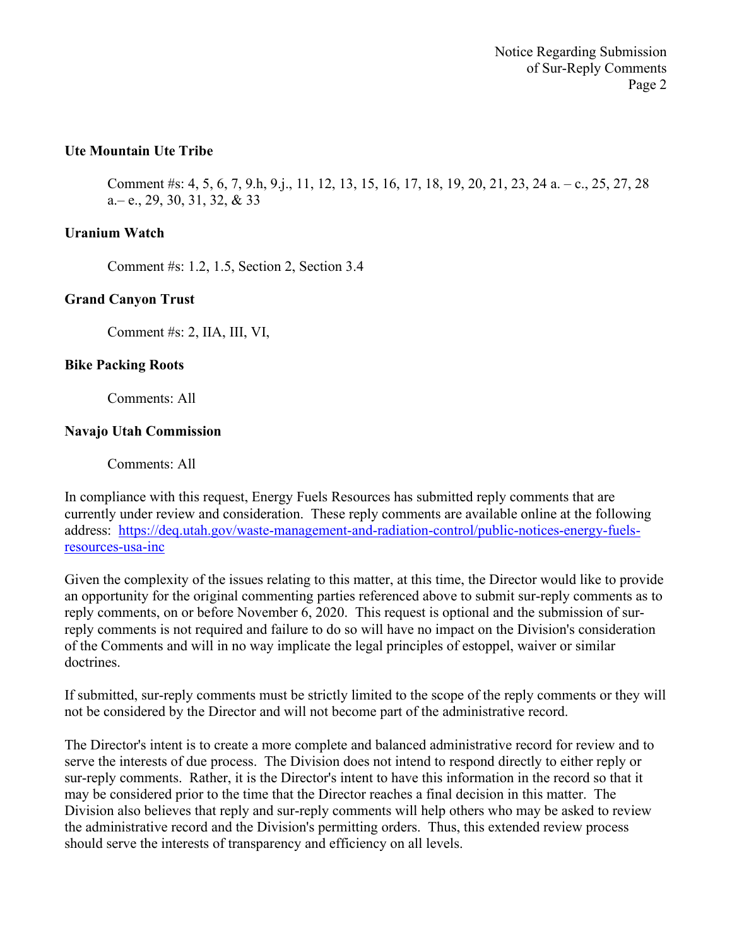### **Ute Mountain Ute Tribe**

Comment #s: 4, 5, 6, 7, 9.h, 9.j., 11, 12, 13, 15, 16, 17, 18, 19, 20, 21, 23, 24 a. – c., 25, 27, 28 a.– e., 29, 30, 31, 32, & 33

#### **Uranium Watch**

Comment #s: 1.2, 1.5, Section 2, Section 3.4

#### **Grand Canyon Trust**

Comment #s: 2, IIA, III, VI,

#### **Bike Packing Roots**

Comments: All

#### **Navajo Utah Commission**

Comments: All

In compliance with this request, Energy Fuels Resources has submitted reply comments that are currently under review and consideration. These reply comments are available online at the following address: [https://deq.utah.gov/waste-management-and-radiation-control/public-notices-energy-fuels](https://deq.utah.gov/waste-management-and-radiation-control/public-notices-energy-fuels-resources-usa-inc)[resources-usa-inc](https://deq.utah.gov/waste-management-and-radiation-control/public-notices-energy-fuels-resources-usa-inc)

Given the complexity of the issues relating to this matter, at this time, the Director would like to provide an opportunity for the original commenting parties referenced above to submit sur-reply comments as to reply comments, on or before November 6, 2020. This request is optional and the submission of surreply comments is not required and failure to do so will have no impact on the Division's consideration of the Comments and will in no way implicate the legal principles of estoppel, waiver or similar doctrines.

If submitted, sur-reply comments must be strictly limited to the scope of the reply comments or they will not be considered by the Director and will not become part of the administrative record.

The Director's intent is to create a more complete and balanced administrative record for review and to serve the interests of due process. The Division does not intend to respond directly to either reply or sur-reply comments. Rather, it is the Director's intent to have this information in the record so that it may be considered prior to the time that the Director reaches a final decision in this matter. The Division also believes that reply and sur-reply comments will help others who may be asked to review the administrative record and the Division's permitting orders. Thus, this extended review process should serve the interests of transparency and efficiency on all levels.